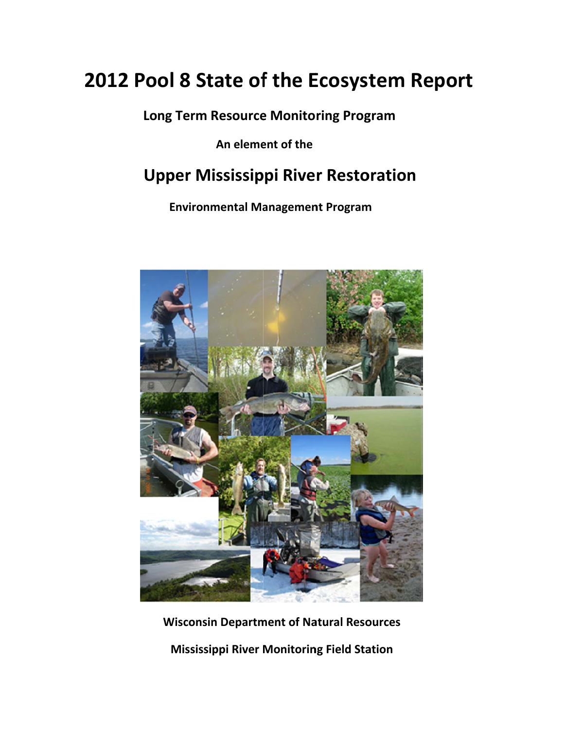# **20 12 Po ol 8 St tate of f the E Ecosys tem R Report**

 **Lo ng Term Resource e Monito ring Prog gram**

**An eleme ent of the**

# **Upper Mississippi River Restoration**

**Environmental Management Program** 



**Wisconsin Department of Natural Resources** 

**Mississippi River Monitoring Field Station**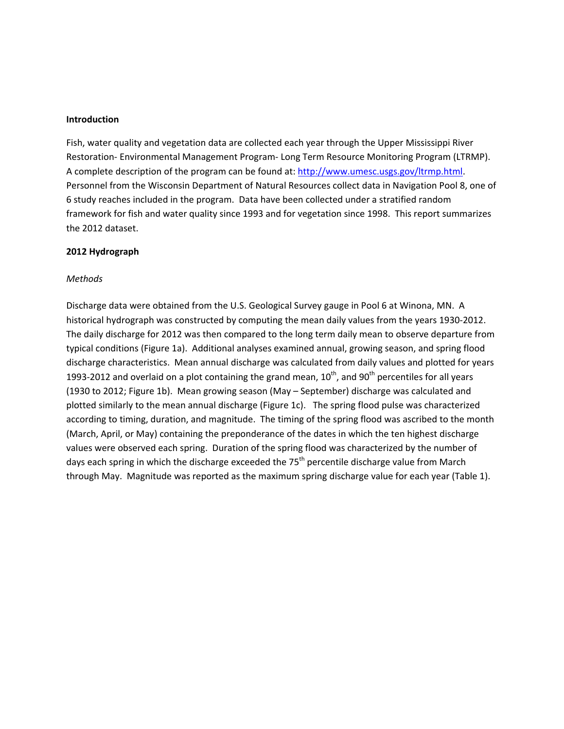#### **Introduction**

Fish, water quality and vegetation data are collected each year through the Upper Mississippi River Restoration‐ Environmental Management Program‐ Long Term Resource Monitoring Program (LTRMP). A complete description of the program can be found at: http://www.umesc.usgs.gov/ltrmp.html. Personnel from the Wisconsin Department of Natural Resources collect data in Navigation Pool 8, one of 6 study reaches included in the program. Data have been collected under a stratified random framework for fish and water quality since 1993 and for vegetation since 1998. This report summarizes the 2012 dataset.

#### **2012 Hydrograph**

#### *Methods*

Discharge data were obtained from the U.S. Geological Survey gauge in Pool 6 at Winona, MN. A historical hydrograph was constructed by computing the mean daily values from the years 1930‐2012. The daily discharge for 2012 was then compared to the long term daily mean to observe departure from typical conditions (Figure 1a). Additional analyses examined annual, growing season, and spring flood discharge characteristics. Mean annual discharge was calculated from daily values and plotted for years 1993-2012 and overlaid on a plot containing the grand mean,  $10^{th}$ , and  $90^{th}$  percentiles for all years (1930 to 2012; Figure 1b). Mean growing season (May – September) discharge was calculated and plotted similarly to the mean annual discharge (Figure 1c). The spring flood pulse was characterized according to timing, duration, and magnitude. The timing of the spring flood was ascribed to the month (March, April, or May) containing the preponderance of the dates in which the ten highest discharge values were observed each spring. Duration of the spring flood was characterized by the number of days each spring in which the discharge exceeded the 75<sup>th</sup> percentile discharge value from March through May. Magnitude was reported as the maximum spring discharge value for each year (Table 1).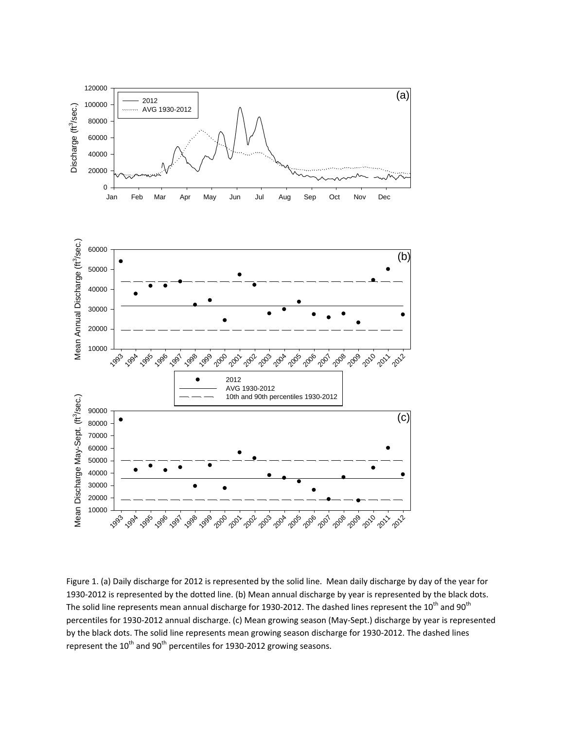

Figure 1. (a) Daily discharge for 2012 is represented by the solid line. Mean daily discharge by day of the year for 1930-2012 is represented by the dotted line. (b) Mean annual discharge by year is represented by the black dots. The solid line represents mean annual discharge for 1930-2012. The dashed lines represent the  $10^{th}$  and  $90^{th}$ percentiles for 1930‐2012 annual discharge. (c) Mean growing season (May‐Sept.) discharge by year is represented by the black dots. The solid line represents mean growing season discharge for 1930‐2012. The dashed lines represent the  $10^{th}$  and  $90^{th}$  percentiles for 1930-2012 growing seasons.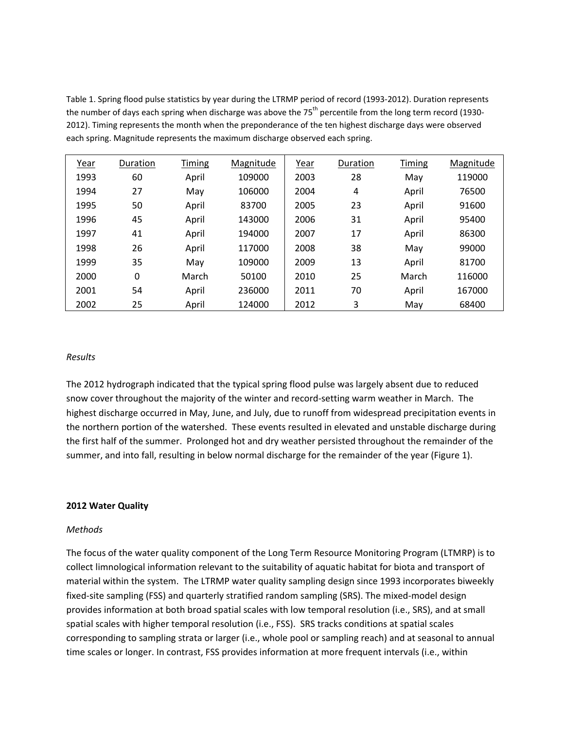Table 1. Spring flood pulse statistics by year during the LTRMP period of record (1993-2012). Duration represents the number of days each spring when discharge was above the 75<sup>th</sup> percentile from the long term record (1930-2012). Timing represents the month when the preponderance of the ten highest discharge days were observed each spring. Magnitude represents the maximum discharge observed each spring.

| Year | Duration | Timing | Magnitude | Year | Duration | Timing | Magnitude |
|------|----------|--------|-----------|------|----------|--------|-----------|
| 1993 | 60       | April  | 109000    | 2003 | 28       | May    | 119000    |
| 1994 | 27       | May    | 106000    | 2004 | 4        | April  | 76500     |
| 1995 | 50       | April  | 83700     | 2005 | 23       | April  | 91600     |
| 1996 | 45       | April  | 143000    | 2006 | 31       | April  | 95400     |
| 1997 | 41       | April  | 194000    | 2007 | 17       | April  | 86300     |
| 1998 | 26       | April  | 117000    | 2008 | 38       | May    | 99000     |
| 1999 | 35       | May    | 109000    | 2009 | 13       | April  | 81700     |
| 2000 | 0        | March  | 50100     | 2010 | 25       | March  | 116000    |
| 2001 | 54       | April  | 236000    | 2011 | 70       | April  | 167000    |
| 2002 | 25       | April  | 124000    | 2012 | 3        | May    | 68400     |

#### *Results*

The 2012 hydrograph indicated that the typical spring flood pulse was largely absent due to reduced snow cover throughout the majority of the winter and record‐setting warm weather in March. The highest discharge occurred in May, June, and July, due to runoff from widespread precipitation events in the northern portion of the watershed. These events resulted in elevated and unstable discharge during the first half of the summer. Prolonged hot and dry weather persisted throughout the remainder of the summer, and into fall, resulting in below normal discharge for the remainder of the year (Figure 1).

#### **2012 Water Quality**

#### *Methods*

The focus of the water quality component of the Long Term Resource Monitoring Program (LTMRP) is to collect limnological information relevant to the suitability of aquatic habitat for biota and transport of material within the system. The LTRMP water quality sampling design since 1993 incorporates biweekly fixed-site sampling (FSS) and quarterly stratified random sampling (SRS). The mixed-model design provides information at both broad spatial scales with low temporal resolution (i.e., SRS), and at small spatial scales with higher temporal resolution (i.e., FSS). SRS tracks conditions at spatial scales corresponding to sampling strata or larger (i.e., whole pool or sampling reach) and at seasonal to annual time scales or longer. In contrast, FSS provides information at more frequent intervals (i.e., within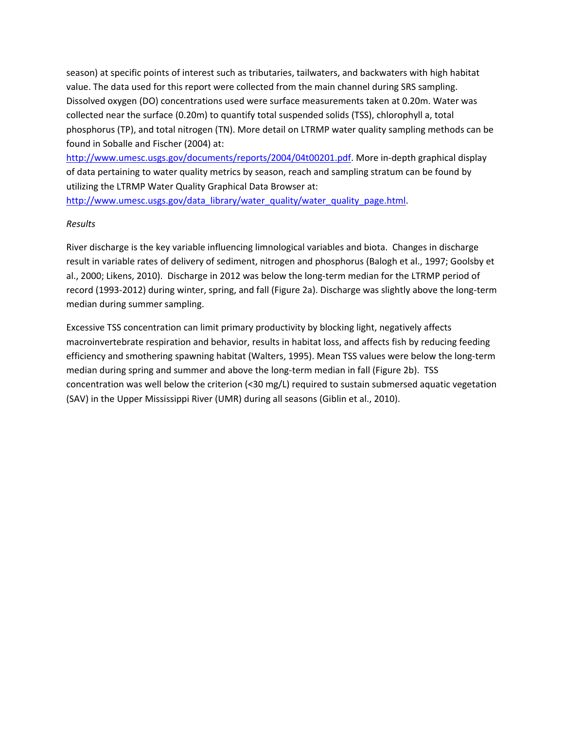season) at specific points of interest such as tributaries, tailwaters, and backwaters with high habitat value. The data used for this report were collected from the main channel during SRS sampling. Dissolved oxygen (DO) concentrations used were surface measurements taken at 0.20m. Water was collected near the surface (0.20m) to quantify total suspended solids (TSS), chlorophyll a, total phosphorus (TP), and total nitrogen (TN). More detail on LTRMP water quality sampling methods can be found in Soballe and Fischer (2004) at:

http://www.umesc.usgs.gov/documents/reports/2004/04t00201.pdf. More in‐depth graphical display of data pertaining to water quality metrics by season, reach and sampling stratum can be found by utilizing the LTRMP Water Quality Graphical Data Browser at:

http://www.umesc.usgs.gov/data\_library/water\_quality/water\_quality\_page.html.

# *Results*

River discharge is the key variable influencing limnological variables and biota. Changes in discharge result in variable rates of delivery of sediment, nitrogen and phosphorus (Balogh et al., 1997; Goolsby et al., 2000; Likens, 2010). Discharge in 2012 was below the long-term median for the LTRMP period of record (1993‐2012) during winter, spring, and fall (Figure 2a). Discharge was slightly above the long‐term median during summer sampling.

Excessive TSS concentration can limit primary productivity by blocking light, negatively affects macroinvertebrate respiration and behavior, results in habitat loss, and affects fish by reducing feeding efficiency and smothering spawning habitat (Walters, 1995). Mean TSS values were below the long‐term median during spring and summer and above the long-term median in fall (Figure 2b). TSS concentration was well below the criterion (<30 mg/L) required to sustain submersed aquatic vegetation (SAV) in the Upper Mississippi River (UMR) during all seasons (Giblin et al., 2010).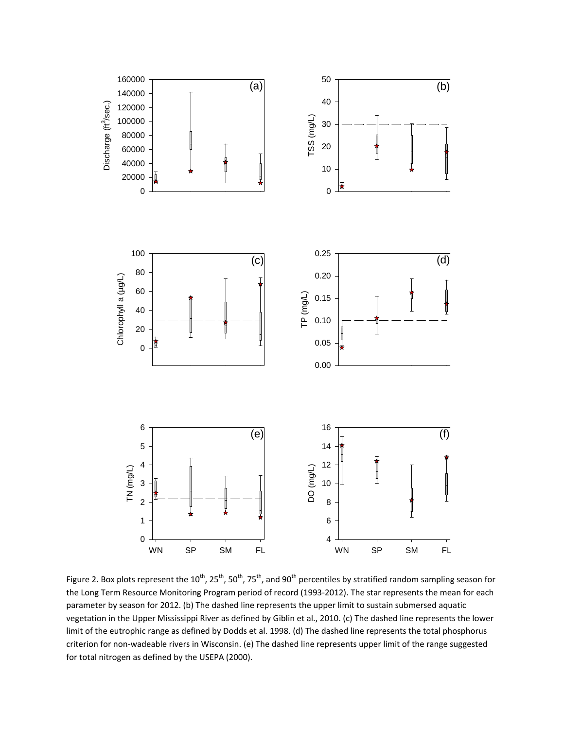

Figure 2. Box plots represent the 10<sup>th</sup>, 25<sup>th</sup>, 50<sup>th</sup>, 75<sup>th</sup>, and 90<sup>th</sup> percentiles by stratified random sampling season for the Long Term Resource Monitoring Program period of record (1993‐2012). The star represents the mean for each parameter by season for 2012. (b) The dashed line represents the upper limit to sustain submersed aquatic vegetation in the Upper Mississippi River as defined by Giblin et al., 2010. (c) The dashed line represents the lower limit of the eutrophic range as defined by Dodds et al. 1998. (d) The dashed line represents the total phosphorus criterion for non‐wadeable rivers in Wisconsin. (e) The dashed line represents upper limit of the range suggested for total nitrogen as defined by the USEPA (2000).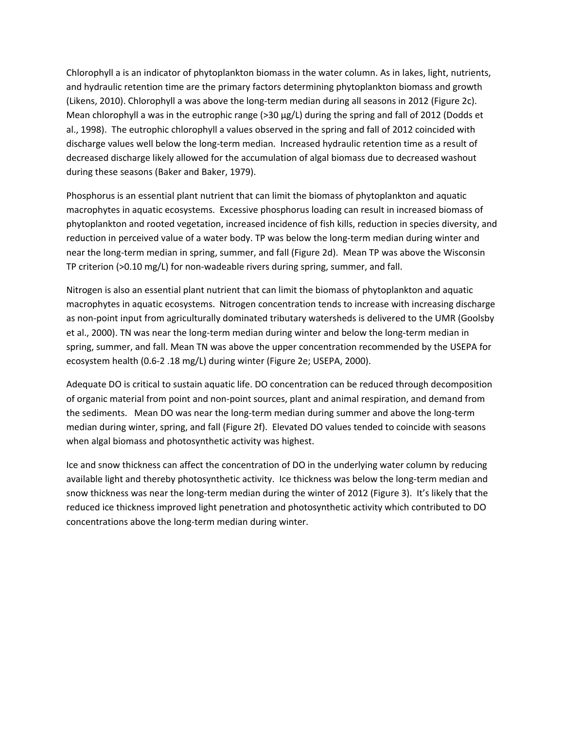Chlorophyll a is an indicator of phytoplankton biomass in the water column. As in lakes, light, nutrients, and hydraulic retention time are the primary factors determining phytoplankton biomass and growth (Likens, 2010). Chlorophyll a was above the long‐term median during all seasons in 2012 (Figure 2c). Mean chlorophyll a was in the eutrophic range (>30 µg/L) during the spring and fall of 2012 (Dodds et al., 1998). The eutrophic chlorophyll a values observed in the spring and fall of 2012 coincided with discharge values well below the long‐term median. Increased hydraulic retention time as a result of decreased discharge likely allowed for the accumulation of algal biomass due to decreased washout during these seasons (Baker and Baker, 1979).

Phosphorus is an essential plant nutrient that can limit the biomass of phytoplankton and aquatic macrophytes in aquatic ecosystems. Excessive phosphorus loading can result in increased biomass of phytoplankton and rooted vegetation, increased incidence of fish kills, reduction in species diversity, and reduction in perceived value of a water body. TP was below the long-term median during winter and near the long‐term median in spring, summer, and fall (Figure 2d). Mean TP was above the Wisconsin TP criterion (>0.10 mg/L) for non‐wadeable rivers during spring, summer, and fall.

Nitrogen is also an essential plant nutrient that can limit the biomass of phytoplankton and aquatic macrophytes in aquatic ecosystems. Nitrogen concentration tends to increase with increasing discharge as non‐point input from agriculturally dominated tributary watersheds is delivered to the UMR (Goolsby et al., 2000). TN was near the long‐term median during winter and below the long‐term median in spring, summer, and fall. Mean TN was above the upper concentration recommended by the USEPA for ecosystem health (0.6‐2 .18 mg/L) during winter (Figure 2e; USEPA, 2000).

Adequate DO is critical to sustain aquatic life. DO concentration can be reduced through decomposition of organic material from point and non‐point sources, plant and animal respiration, and demand from the sediments. Mean DO was near the long-term median during summer and above the long-term median during winter, spring, and fall (Figure 2f). Elevated DO values tended to coincide with seasons when algal biomass and photosynthetic activity was highest.

Ice and snow thickness can affect the concentration of DO in the underlying water column by reducing available light and thereby photosynthetic activity. Ice thickness was below the long-term median and snow thickness was near the long‐term median during the winter of 2012 (Figure 3). It's likely that the reduced ice thickness improved light penetration and photosynthetic activity which contributed to DO concentrations above the long‐term median during winter.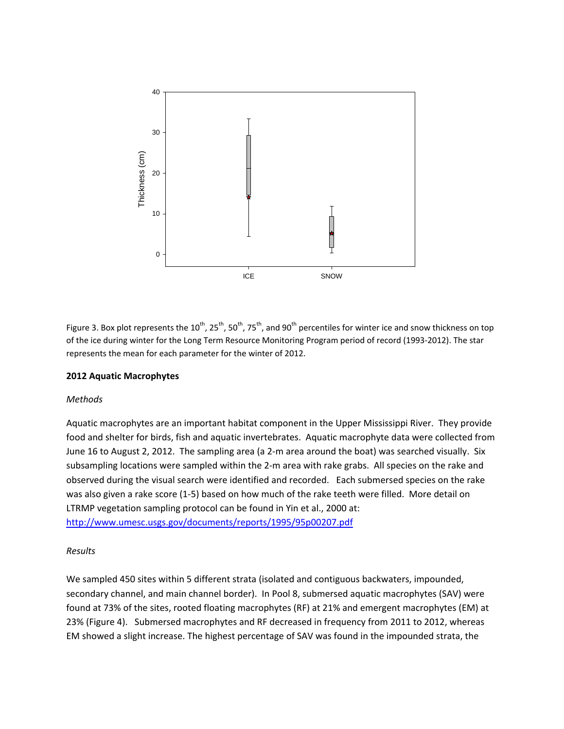

Figure 3. Box plot represents the  $10^{th}$ , 25<sup>th</sup>, 50<sup>th</sup>, 75<sup>th</sup>, and 90<sup>th</sup> percentiles for winter ice and snow thickness on top of the ice during winter for the Long Term Resource Monitoring Program period of record (1993-2012). The star represents the mean for each parameter for the winter of 2012.

# **2012 Aquatic Macrophytes**

# *Methods*

Aquatic macrophytes are an important habitat component in the Upper Mississippi River. They provide food and shelter for birds, fish and aquatic invertebrates. Aquatic macrophyte data were collected from June 16 to August 2, 2012. The sampling area (a 2‐m area around the boat) was searched visually. Six subsampling locations were sampled within the 2‐m area with rake grabs. All species on the rake and observed during the visual search were identified and recorded. Each submersed species on the rake was also given a rake score (1-5) based on how much of the rake teeth were filled. More detail on LTRMP vegetation sampling protocol can be found in Yin et al., 2000 at: http://www.umesc.usgs.gov/documents/reports/1995/95p00207.pdf

# *Results*

We sampled 450 sites within 5 different strata (isolated and contiguous backwaters, impounded, secondary channel, and main channel border). In Pool 8, submersed aquatic macrophytes (SAV) were found at 73% of the sites, rooted floating macrophytes (RF) at 21% and emergent macrophytes (EM) at 23% (Figure 4). Submersed macrophytes and RF decreased in frequency from 2011 to 2012, whereas EM showed a slight increase. The highest percentage of SAV was found in the impounded strata, the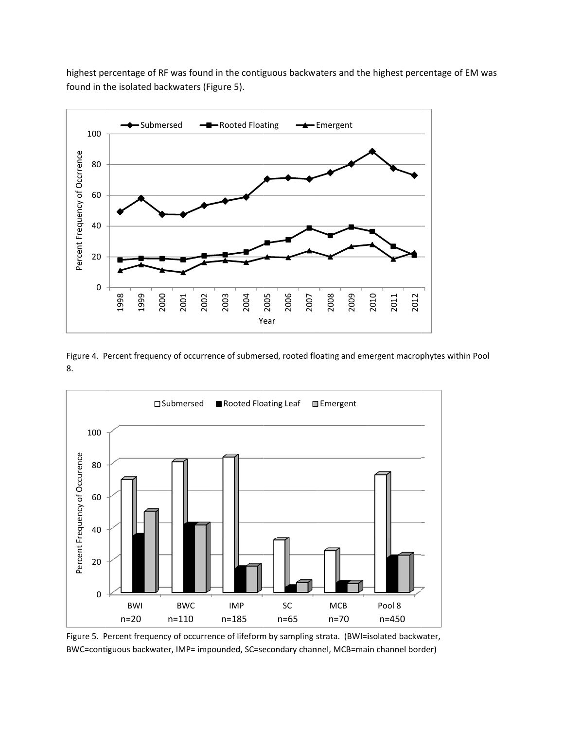highest percentage of RF was found in the contiguous backwaters and the highest percentage of EM was found in the isolated backwaters (Figure 5).



Figure 4. Percent frequency of occurrence of submersed, rooted floating and emergent macrophytes within Pool 8.



Figure 5. Percent frequency of occurrence of lifeform by sampling strata. (BWI=isolated backwater, BWC=contiguous backwater, IMP= impounded, SC=secondary channel, MCB=main channel border)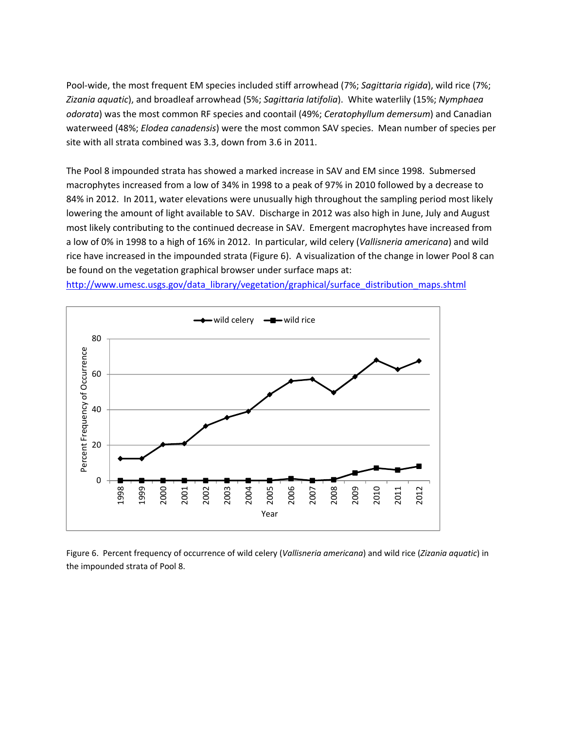Pool‐wide, the most frequent EM species included stiff arrowhead (7%; *Sagittaria rigida*), wild rice (7%; *Zizania aquatic*), and broadleaf arrowhead (5%; *Sagittaria latifolia*). White waterlily (15%; *Nymphaea odorata*) was the most common RF species and coontail (49%; *Ceratophyllum demersum*) and Canadian waterweed (48%; *Elodea canadensis*) were the most common SAV species. Mean number of species per site with all strata combined was 3.3, down from 3.6 in 2011.

The Pool 8 impounded strata has showed a marked increase in SAV and EM since 1998. Submersed macrophytes increased from a low of 34% in 1998 to a peak of 97% in 2010 followed by a decrease to 84% in 2012. In 2011, water elevations were unusually high throughout the sampling period most likely lowering the amount of light available to SAV. Discharge in 2012 was also high in June, July and August most likely contributing to the continued decrease in SAV. Emergent macrophytes have increased from a low of 0% in 1998 to a high of 16% in 2012. In particular, wild celery (*Vallisneria americana*) and wild rice have increased in the impounded strata (Figure 6). A visualization of the change in lower Pool 8 can be found on the vegetation graphical browser under surface maps at:

http://www.umesc.usgs.gov/data\_library/vegetation/graphical/surface\_distribution\_maps.shtml



Figure 6. Percent frequency of occurrence of wild celery (*Vallisneria americana*) and wild rice (*Zizania aquatic*) in the impounded strata of Pool 8.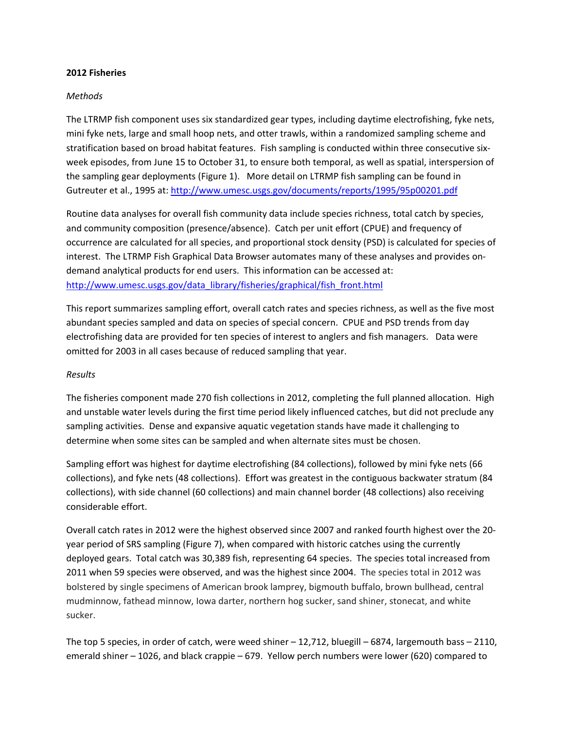#### **2012 Fisheries**

## *Methods*

The LTRMP fish component uses six standardized gear types, including daytime electrofishing, fyke nets, mini fyke nets, large and small hoop nets, and otter trawls, within a randomized sampling scheme and stratification based on broad habitat features. Fish sampling is conducted within three consecutive six‐ week episodes, from June 15 to October 31, to ensure both temporal, as well as spatial, interspersion of the sampling gear deployments (Figure 1). More detail on LTRMP fish sampling can be found in Gutreuter et al., 1995 at: http://www.umesc.usgs.gov/documents/reports/1995/95p00201.pdf

Routine data analyses for overall fish community data include species richness, total catch by species, and community composition (presence/absence). Catch per unit effort (CPUE) and frequency of occurrence are calculated for all species, and proportional stock density (PSD) is calculated for species of interest. The LTRMP Fish Graphical Data Browser automates many of these analyses and provides on‐ demand analytical products for end users. This information can be accessed at: http://www.umesc.usgs.gov/data\_library/fisheries/graphical/fish\_front.html

This report summarizes sampling effort, overall catch rates and species richness, as well as the five most abundant species sampled and data on species of special concern. CPUE and PSD trends from day electrofishing data are provided for ten species of interest to anglers and fish managers. Data were omitted for 2003 in all cases because of reduced sampling that year.

#### *Results*

The fisheries component made 270 fish collections in 2012, completing the full planned allocation. High and unstable water levels during the first time period likely influenced catches, but did not preclude any sampling activities. Dense and expansive aquatic vegetation stands have made it challenging to determine when some sites can be sampled and when alternate sites must be chosen.

Sampling effort was highest for daytime electrofishing (84 collections), followed by mini fyke nets (66 collections), and fyke nets (48 collections). Effort was greatest in the contiguous backwater stratum (84 collections), with side channel (60 collections) and main channel border (48 collections) also receiving considerable effort.

Overall catch rates in 2012 were the highest observed since 2007 and ranked fourth highest over the 20‐ year period of SRS sampling (Figure 7), when compared with historic catches using the currently deployed gears. Total catch was 30,389 fish, representing 64 species. The species total increased from 2011 when 59 species were observed, and was the highest since 2004. The species total in 2012 was bolstered by single specimens of American brook lamprey, bigmouth buffalo, brown bullhead, central mudminnow, fathead minnow, Iowa darter, northern hog sucker, sand shiner, stonecat, and white sucker.

The top 5 species, in order of catch, were weed shiner – 12,712, bluegill – 6874, largemouth bass – 2110, emerald shiner – 1026, and black crappie – 679. Yellow perch numbers were lower (620) compared to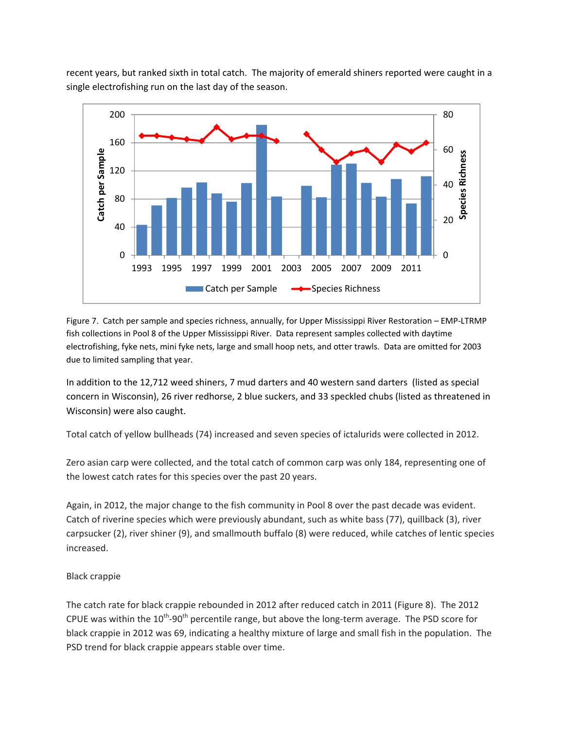recent years, but ranked sixth in total catch. The majority of emerald shiners reported were caught in a single electrofishing run on the last day of the season.



Figure 7. Catch per sample and species richness, annually, for Upper Mississippi River Restoration – EMP‐LTRMP fish collections in Pool 8 of the Upper Mississippi River. Data represent samples collected with daytime electrofishing, fyke nets, mini fyke nets, large and small hoop nets, and otter trawls. Data are omitted for 2003 due to limited sampling that year.

In addition to the 12,712 weed shiners, 7 mud darters and 40 western sand darters (listed as special concern in Wisconsin), 26 river redhorse, 2 blue suckers, and 33 speckled chubs (listed as threatened in Wisconsin) were also caught.

Total catch of yellow bullheads (74) increased and seven species of ictalurids were collected in 2012.

Zero asian carp were collected, and the total catch of common carp was only 184, representing one of the lowest catch rates for this species over the past 20 years.

Again, in 2012, the major change to the fish community in Pool 8 over the past decade was evident. Catch of riverine species which were previously abundant, such as white bass (77), quillback (3), river carpsucker (2), river shiner (9), and smallmouth buffalo (8) were reduced, while catches of lentic species increased.

# Black crappie

The catch rate for black crappie rebounded in 2012 after reduced catch in 2011 (Figure 8). The 2012 CPUE was within the  $10^{th}$ -90<sup>th</sup> percentile range, but above the long-term average. The PSD score for black crappie in 2012 was 69, indicating a healthy mixture of large and small fish in the population. The PSD trend for black crappie appears stable over time.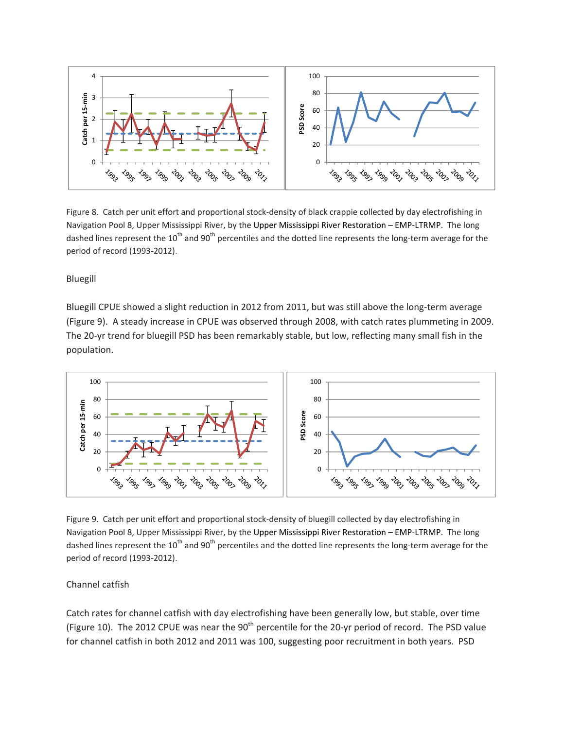

Figure 8. Catch per unit effort and proportional stock-density of black crappie collected by day electrofishing in Navigation Pool 8, Upper Mississippi River, by the Upper Mississippi River Restoration – EMP‐LTRMP. The long dashed lines represent the  $10^{th}$  and  $90^{th}$  percentiles and the dotted line represents the long-term average for the period of record (1993‐2012).

Bluegill

Bluegill CPUE showed a slight reduction in 2012 from 2011, but was still above the long‐term average (Figure 9). A steady increase in CPUE was observed through 2008, with catch rates plummeting in 2009. The 20-yr trend for bluegill PSD has been remarkably stable, but low, reflecting many small fish in the population.



Figure 9. Catch per unit effort and proportional stock‐density of bluegill collected by day electrofishing in Navigation Pool 8, Upper Mississippi River, by the Upper Mississippi River Restoration – EMP‐LTRMP. The long dashed lines represent the  $10^{th}$  and  $90^{th}$  percentiles and the dotted line represents the long-term average for the period of record (1993‐2012).

# Channel catfish

Catch rates for channel catfish with day electrofishing have been generally low, but stable, over time (Figure 10). The 2012 CPUE was near the 90<sup>th</sup> percentile for the 20-yr period of record. The PSD value for channel catfish in both 2012 and 2011 was 100, suggesting poor recruitment in both years. PSD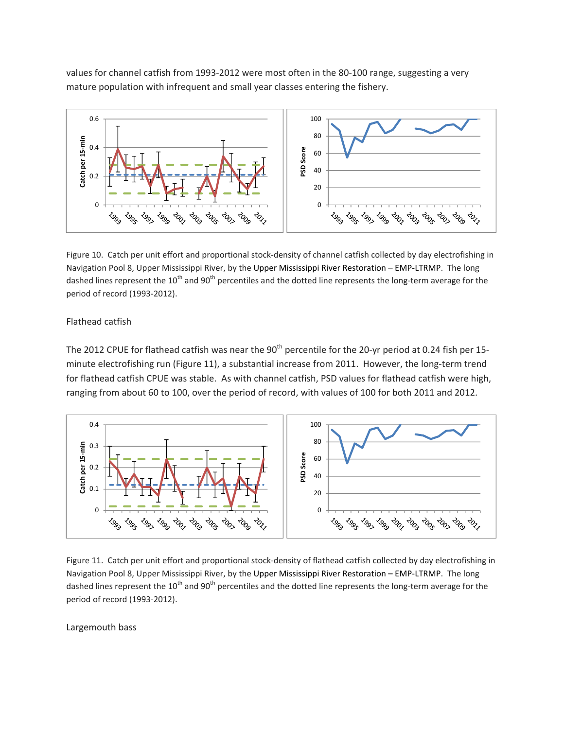values for channel catfish from 1993-2012 were most often in the 80-100 range, suggesting a very mature population with infrequent and small year classes entering the fishery.



Figure 10. Catch per unit effort and proportional stock-density of channel catfish collected by day electrofishing in Navigation Pool 8, Upper Mississippi River, by the Upper Mississippi River Restoration – EMP‐LTRMP. The long dashed lines represent the  $10^{th}$  and  $90^{th}$  percentiles and the dotted line represents the long-term average for the period of record (1993‐2012).

# Flathead catfish

The 2012 CPUE for flathead catfish was near the 90<sup>th</sup> percentile for the 20-yr period at 0.24 fish per 15minute electrofishing run (Figure 11), a substantial increase from 2011. However, the long-term trend for flathead catfish CPUE was stable. As with channel catfish, PSD values for flathead catfish were high, ranging from about 60 to 100, over the period of record, with values of 100 for both 2011 and 2012.



Figure 11. Catch per unit effort and proportional stock-density of flathead catfish collected by day electrofishing in Navigation Pool 8, Upper Mississippi River, by the Upper Mississippi River Restoration – EMP‐LTRMP. The long dashed lines represent the  $10^{th}$  and  $90^{th}$  percentiles and the dotted line represents the long-term average for the period of record (1993‐2012).

#### Largemouth bass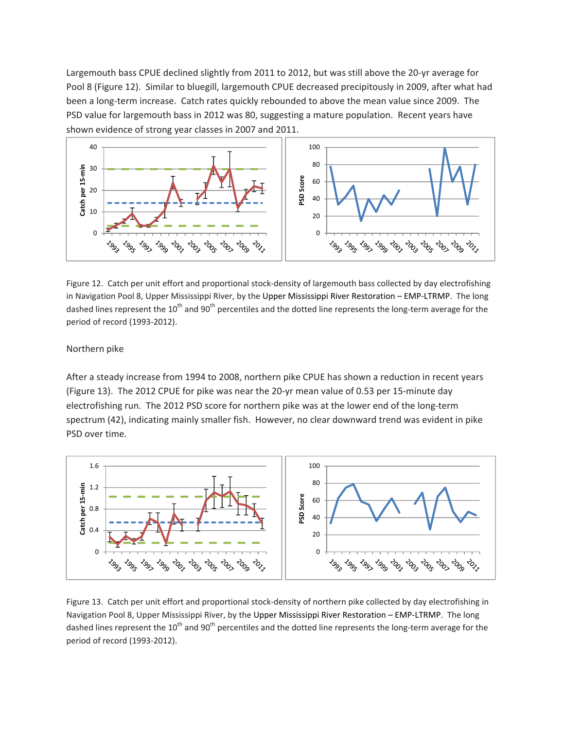Largemouth bass CPUE declined slightly from 2011 to 2012, but was still above the 20‐yr average for Pool 8 (Figure 12). Similar to bluegill, largemouth CPUE decreased precipitously in 2009, after what had been a long-term increase. Catch rates quickly rebounded to above the mean value since 2009. The PSD value for largemouth bass in 2012 was 80, suggesting a mature population. Recent years have shown evidence of strong year classes in 2007 and 2011.



Figure 12. Catch per unit effort and proportional stock-density of largemouth bass collected by day electrofishing in Navigation Pool 8, Upper Mississippi River, by the Upper Mississippi River Restoration – EMP‐LTRMP. The long dashed lines represent the  $10^{th}$  and  $90^{th}$  percentiles and the dotted line represents the long-term average for the period of record (1993‐2012).

# Northern pike

After a steady increase from 1994 to 2008, northern pike CPUE has shown a reduction in recent years (Figure 13). The 2012 CPUE for pike was near the 20‐yr mean value of 0.53 per 15‐minute day electrofishing run. The 2012 PSD score for northern pike was at the lower end of the long-term spectrum (42), indicating mainly smaller fish. However, no clear downward trend was evident in pike PSD over time.



Figure 13. Catch per unit effort and proportional stock-density of northern pike collected by day electrofishing in Navigation Pool 8, Upper Mississippi River, by the Upper Mississippi River Restoration – EMP‐LTRMP. The long dashed lines represent the  $10^{th}$  and  $90^{th}$  percentiles and the dotted line represents the long-term average for the period of record (1993‐2012).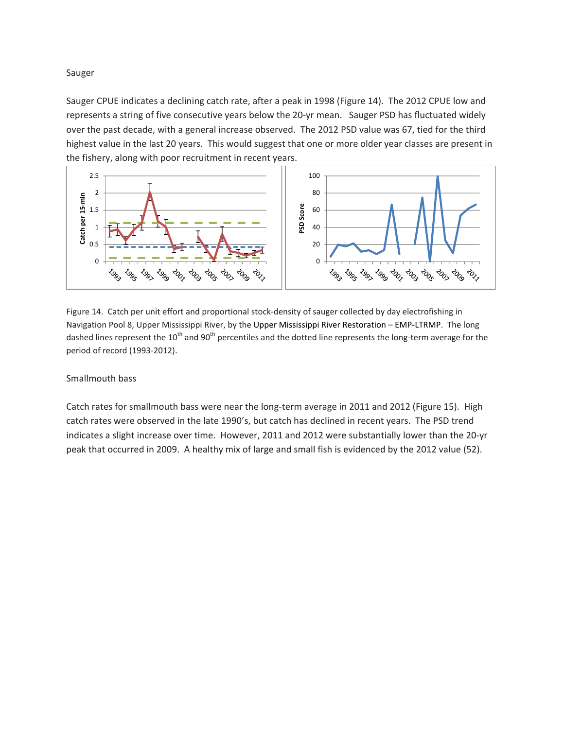Sauger

Sauger CPUE indicates a declining catch rate, after a peak in 1998 (Figure 14). The 2012 CPUE low and represents a string of five consecutive years below the 20-yr mean. Sauger PSD has fluctuated widely over the past decade, with a general increase observed. The 2012 PSD value was 67, tied for the third highest value in the last 20 years. This would suggest that one or more older year classes are present in the fishery, along with poor recruitment in recent years.



Figure 14. Catch per unit effort and proportional stock-density of sauger collected by day electrofishing in Navigation Pool 8, Upper Mississippi River, by the Upper Mississippi River Restoration – EMP‐LTRMP. The long dashed lines represent the  $10^{th}$  and  $90^{th}$  percentiles and the dotted line represents the long-term average for the period of record (1993‐2012).

#### Smallmouth bass

Catch rates for smallmouth bass were near the long-term average in 2011 and 2012 (Figure 15). High catch rates were observed in the late 1990's, but catch has declined in recent years. The PSD trend indicates a slight increase over time. However, 2011 and 2012 were substantially lower than the 20‐yr peak that occurred in 2009. A healthy mix of large and small fish is evidenced by the 2012 value (52).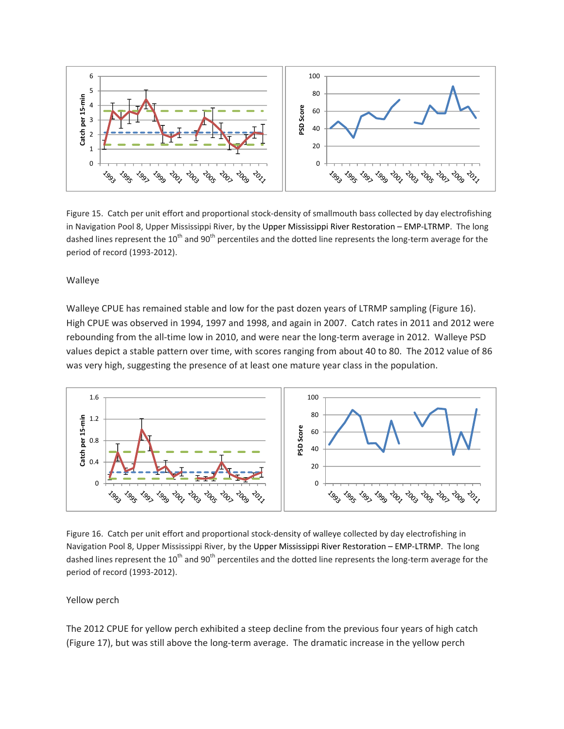

Figure 15. Catch per unit effort and proportional stock-density of smallmouth bass collected by day electrofishing in Navigation Pool 8, Upper Mississippi River, by the Upper Mississippi River Restoration – EMP‐LTRMP. The long dashed lines represent the 10<sup>th</sup> and 90<sup>th</sup> percentiles and the dotted line represents the long-term average for the period of record (1993‐2012).

Walleye

Walleye CPUE has remained stable and low for the past dozen years of LTRMP sampling (Figure 16). High CPUE was observed in 1994, 1997 and 1998, and again in 2007. Catch rates in 2011 and 2012 were rebounding from the all-time low in 2010, and were near the long-term average in 2012. Walleye PSD values depict a stable pattern over time, with scores ranging from about 40 to 80. The 2012 value of 86 was very high, suggesting the presence of at least one mature year class in the population.



Figure 16. Catch per unit effort and proportional stock‐density of walleye collected by day electrofishing in Navigation Pool 8, Upper Mississippi River, by the Upper Mississippi River Restoration – EMP‐LTRMP. The long dashed lines represent the  $10^{th}$  and  $90^{th}$  percentiles and the dotted line represents the long-term average for the period of record (1993‐2012).

# Yellow perch

The 2012 CPUE for yellow perch exhibited a steep decline from the previous four years of high catch (Figure 17), but was still above the long-term average. The dramatic increase in the yellow perch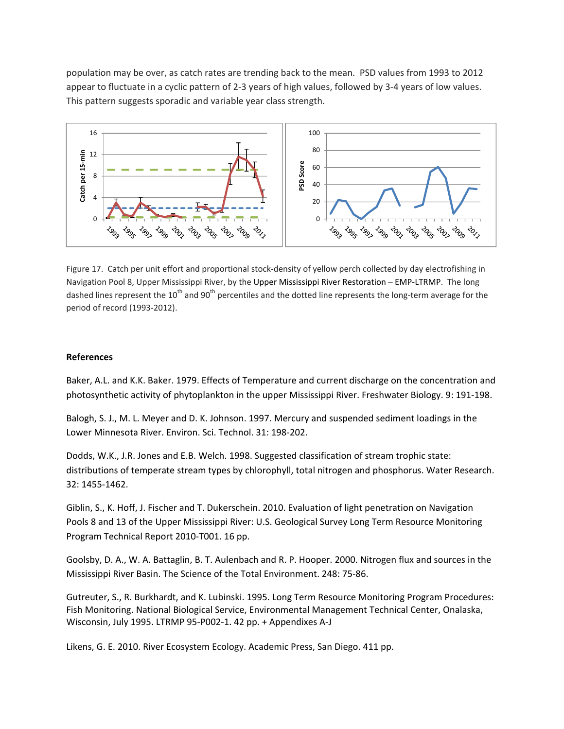population may be over, as catch rates are trending back to the mean. PSD values from 1993 to 2012 appear to fluctuate in a cyclic pattern of 2‐3 years of high values, followed by 3‐4 years of low values. This pattern suggests sporadic and variable year class strength.



Figure 17. Catch per unit effort and proportional stock-density of yellow perch collected by day electrofishing in Navigation Pool 8, Upper Mississippi River, by the Upper Mississippi River Restoration – EMP‐LTRMP. The long dashed lines represent the  $10^{th}$  and  $90^{th}$  percentiles and the dotted line represents the long-term average for the period of record (1993‐2012).

### **References**

Baker, A.L. and K.K. Baker. 1979. Effects of Temperature and current discharge on the concentration and photosynthetic activity of phytoplankton in the upper Mississippi River. Freshwater Biology. 9: 191‐198.

Balogh, S. J., M. L. Meyer and D. K. Johnson. 1997. Mercury and suspended sediment loadings in the Lower Minnesota River. Environ. Sci. Technol. 31: 198‐202.

Dodds, W.K., J.R. Jones and E.B. Welch. 1998. Suggested classification of stream trophic state: distributions of temperate stream types by chlorophyll, total nitrogen and phosphorus. Water Research. 32: 1455‐1462.

Giblin, S., K. Hoff, J. Fischer and T. Dukerschein. 2010. Evaluation of light penetration on Navigation Pools 8 and 13 of the Upper Mississippi River: U.S. Geological Survey Long Term Resource Monitoring Program Technical Report 2010‐T001. 16 pp.

Goolsby, D. A., W. A. Battaglin, B. T. Aulenbach and R. P. Hooper. 2000. Nitrogen flux and sources in the Mississippi River Basin. The Science of the Total Environment. 248: 75‐86.

Gutreuter, S., R. Burkhardt, and K. Lubinski. 1995. Long Term Resource Monitoring Program Procedures: Fish Monitoring. National Biological Service, Environmental Management Technical Center, Onalaska, Wisconsin, July 1995. LTRMP 95‐P002‐1. 42 pp. + Appendixes A‐J

Likens, G. E. 2010. River Ecosystem Ecology. Academic Press, San Diego. 411 pp.